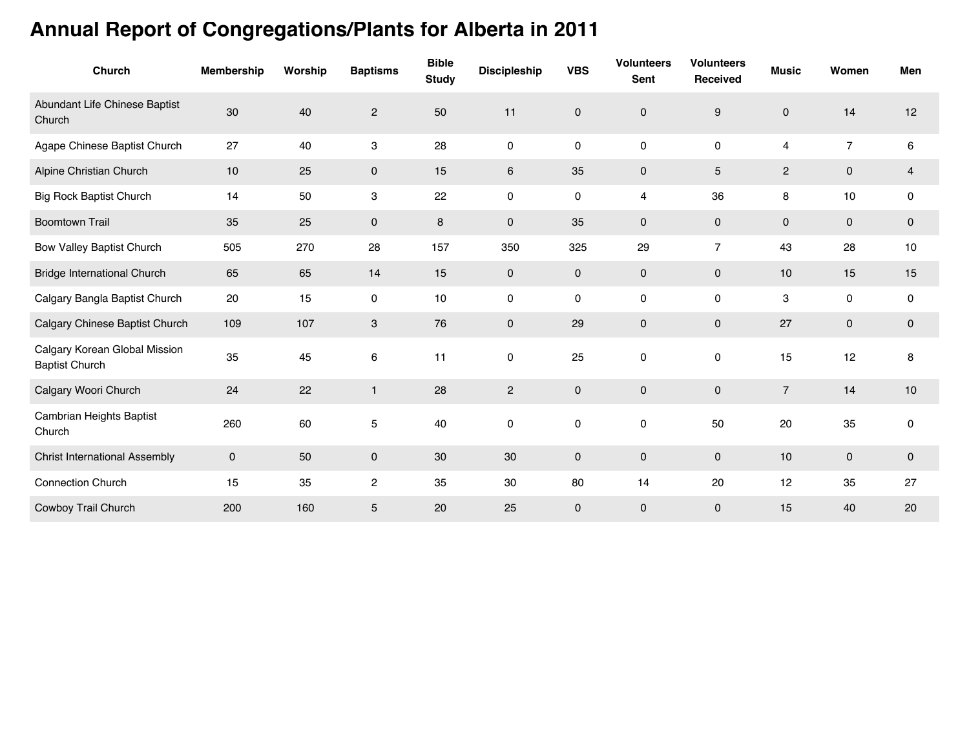## **Annual Report of Congregations/Plants for Alberta in 2011**

| <b>Church</b>                                          | <b>Membership</b> | Worship | <b>Baptisms</b>           | <b>Bible</b><br><b>Study</b> | <b>Discipleship</b> | <b>VBS</b> | <b>Volunteers</b><br><b>Sent</b> | <b>Volunteers</b><br>Received | <b>Music</b>   | Women               | Men            |
|--------------------------------------------------------|-------------------|---------|---------------------------|------------------------------|---------------------|------------|----------------------------------|-------------------------------|----------------|---------------------|----------------|
| Abundant Life Chinese Baptist<br>Church                | 30                | 40      | $\sqrt{2}$                | 50                           | 11                  | 0          | $\mathbf 0$                      | $\boldsymbol{9}$              | $\mathbf 0$    | 14                  | 12             |
| Agape Chinese Baptist Church                           | 27                | 40      | $\ensuremath{\mathsf{3}}$ | 28                           | $\mathsf{O}\xspace$ | 0          | 0                                | 0                             | 4              | $\overline{7}$      | 6              |
| Alpine Christian Church                                | 10                | 25      | $\mathbf 0$               | 15                           | 6                   | 35         | $\mathbf 0$                      | 5                             | $\mathbf{2}$   | $\mathbf{0}$        | $\overline{4}$ |
| <b>Big Rock Baptist Church</b>                         | 14                | 50      | 3                         | 22                           | 0                   | 0          | 4                                | 36                            | 8              | 10                  | 0              |
| <b>Boomtown Trail</b>                                  | 35                | 25      | $\mathbf 0$               | 8                            | $\mathsf{O}\xspace$ | 35         | $\pmb{0}$                        | $\pmb{0}$                     | $\pmb{0}$      | $\mathbf 0$         | $\mathbf 0$    |
| Bow Valley Baptist Church                              | 505               | 270     | 28                        | 157                          | 350                 | 325        | 29                               | $\overline{7}$                | 43             | 28                  | 10             |
| <b>Bridge International Church</b>                     | 65                | 65      | 14                        | 15                           | $\mathbf 0$         | 0          | $\mathbf 0$                      | $\pmb{0}$                     | 10             | 15                  | 15             |
| Calgary Bangla Baptist Church                          | 20                | 15      | 0                         | 10                           | 0                   | 0          | 0                                | 0                             | 3              | 0                   | 0              |
| Calgary Chinese Baptist Church                         | 109               | 107     | 3                         | 76                           | $\mathbf 0$         | 29         | $\mathbf 0$                      | $\mathbf 0$                   | 27             | $\mathbf 0$         | $\mathbf 0$    |
| Calgary Korean Global Mission<br><b>Baptist Church</b> | 35                | 45      | 6                         | 11                           | 0                   | 25         | 0                                | 0                             | 15             | 12                  | 8              |
| Calgary Woori Church                                   | 24                | 22      | $\mathbf{1}$              | 28                           | $\overline{2}$      | 0          | $\mathbf 0$                      | 0                             | $\overline{7}$ | 14                  | 10             |
| Cambrian Heights Baptist<br>Church                     | 260               | 60      | 5                         | 40                           | $\mathsf 0$         | 0          | 0                                | 50                            | 20             | 35                  | 0              |
| <b>Christ International Assembly</b>                   | $\mathbf 0$       | 50      | $\mathbf 0$               | $30\,$                       | 30                  | 0          | $\pmb{0}$                        | $\pmb{0}$                     | 10             | $\mathsf{O}\xspace$ | $\mathbf 0$    |
| <b>Connection Church</b>                               | 15                | 35      | $\overline{\mathbf{c}}$   | 35                           | 30                  | 80         | 14                               | 20                            | 12             | 35                  | 27             |
| Cowboy Trail Church                                    | 200               | 160     | 5                         | 20                           | 25                  | 0          | $\mathbf 0$                      | 0                             | 15             | 40                  | 20             |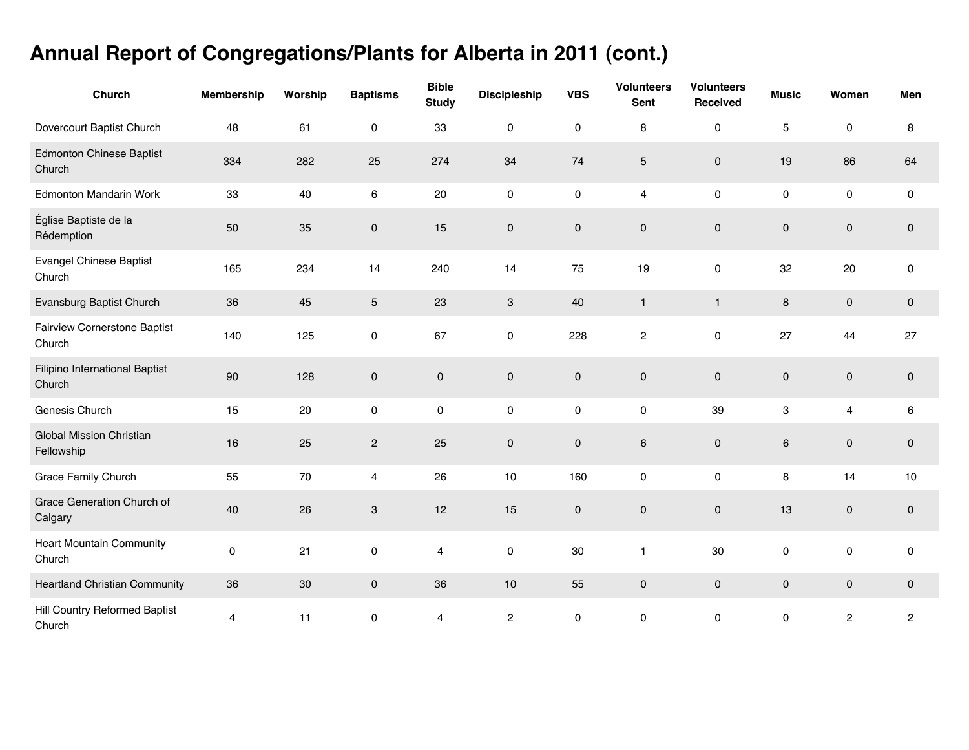## **Annual Report of Congregations/Plants for Alberta in 2011 (cont.)**

| Church                                        | <b>Membership</b> | Worship | <b>Baptisms</b>         | <b>Bible</b><br><b>Study</b> | <b>Discipleship</b> | <b>VBS</b>          | <b>Volunteers</b><br><b>Sent</b> | <b>Volunteers</b><br>Received | <b>Music</b>        | Women          | Men          |
|-----------------------------------------------|-------------------|---------|-------------------------|------------------------------|---------------------|---------------------|----------------------------------|-------------------------------|---------------------|----------------|--------------|
| Dovercourt Baptist Church                     | 48                | 61      | 0                       | 33                           | 0                   | $\mathsf{O}\xspace$ | 8                                | $\mathbf 0$                   | 5                   | 0              | 8            |
| <b>Edmonton Chinese Baptist</b><br>Church     | 334               | 282     | 25                      | 274                          | 34                  | 74                  | 5                                | $\mathbf 0$                   | 19                  | 86             | 64           |
| <b>Edmonton Mandarin Work</b>                 | 33                | 40      | 6                       | 20                           | $\pmb{0}$           | $\mathsf{O}\xspace$ | 4                                | 0                             | 0                   | 0              | $\pmb{0}$    |
| Église Baptiste de la<br>Rédemption           | 50                | 35      | 0                       | 15                           | $\mathsf{O}\xspace$ | $\mathsf{O}\xspace$ | $\mathbf 0$                      | $\pmb{0}$                     | $\mathsf{O}\xspace$ | $\mathbf 0$    | $\pmb{0}$    |
| <b>Evangel Chinese Baptist</b><br>Church      | 165               | 234     | 14                      | 240                          | 14                  | 75                  | 19                               | $\mathsf{O}\xspace$           | 32                  | 20             | $\pmb{0}$    |
| Evansburg Baptist Church                      | 36                | 45      | 5                       | 23                           | $\mathbf{3}$        | 40                  | $\mathbf{1}$                     | $\mathbf{1}$                  | $\bf 8$             | $\mathbf 0$    | $\pmb{0}$    |
| <b>Fairview Cornerstone Baptist</b><br>Church | 140               | 125     | $\pmb{0}$               | 67                           | $\mathsf{O}\xspace$ | 228                 | $\overline{c}$                   | 0                             | 27                  | 44             | 27           |
| Filipino International Baptist<br>Church      | 90                | 128     | $\pmb{0}$               | $\pmb{0}$                    | $\mathsf{O}\xspace$ | $\mathsf{O}\xspace$ | $\mathbf 0$                      | $\mathsf{O}$                  | $\mathbf 0$         | $\pmb{0}$      | $\mathbf 0$  |
| Genesis Church                                | 15                | 20      | $\pmb{0}$               | 0                            | $\pmb{0}$           | $\mathsf{O}\xspace$ | $\pmb{0}$                        | 39                            | 3                   | 4              | 6            |
| <b>Global Mission Christian</b><br>Fellowship | 16                | 25      | $\overline{c}$          | 25                           | $\pmb{0}$           | $\mathsf{O}\xspace$ | $\,6$                            | $\mathbf 0$                   | $\,6\,$             | $\pmb{0}$      | $\pmb{0}$    |
| Grace Family Church                           | 55                | 70      | $\overline{\mathbf{4}}$ | 26                           | 10                  | 160                 | $\pmb{0}$                        | $\pmb{0}$                     | 8                   | 14             | 10           |
| Grace Generation Church of<br>Calgary         | 40                | 26      | 3                       | 12                           | 15                  | $\mathbf 0$         | $\pmb{0}$                        | $\pmb{0}$                     | 13                  | $\mathbf 0$    | $\pmb{0}$    |
| <b>Heart Mountain Community</b><br>Church     | $\mathsf 0$       | 21      | $\pmb{0}$               | $\overline{4}$               | $\pmb{0}$           | 30                  | $\mathbf{1}$                     | 30                            | $\pmb{0}$           | $\pmb{0}$      | 0            |
| <b>Heartland Christian Community</b>          | 36                | 30      | $\mathsf{O}$            | 36                           | 10                  | 55                  | $\pmb{0}$                        | $\mathbf 0$                   | $\mathbf 0$         | $\mathbf 0$    | $\mathbf 0$  |
| Hill Country Reformed Baptist<br>Church       | $\overline{4}$    | 11      | $\pmb{0}$               | $\overline{4}$               | $\overline{c}$      | $\mathsf{O}\xspace$ | $\mathbf 0$                      | $\mathbf 0$                   | $\pmb{0}$           | $\overline{c}$ | $\mathbf{2}$ |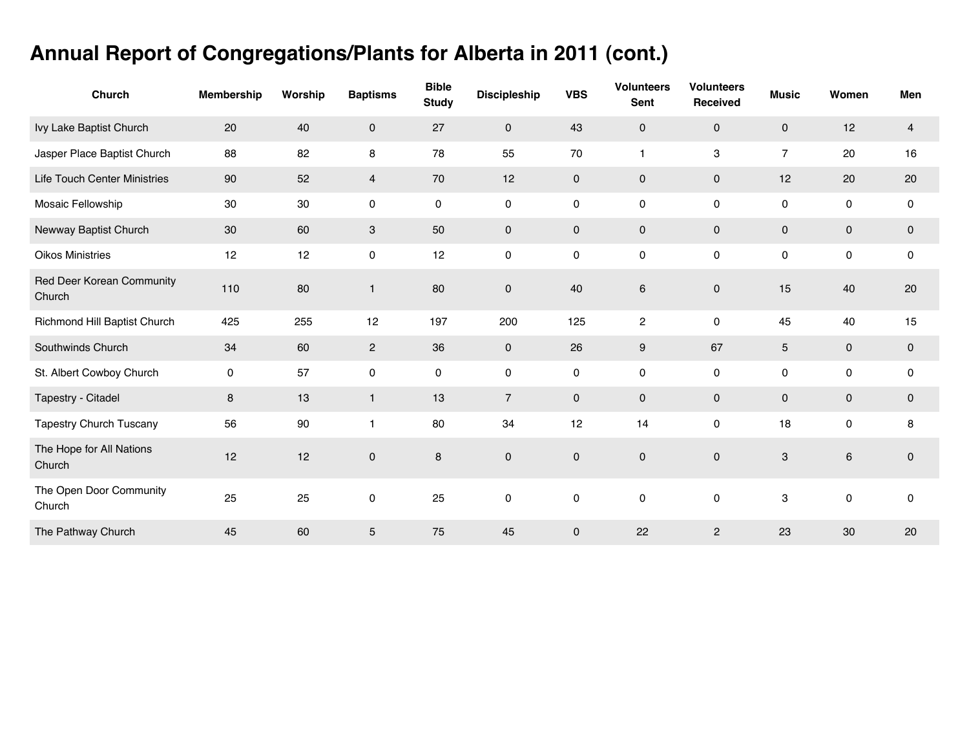## **Annual Report of Congregations/Plants for Alberta in 2011 (cont.)**

| <b>Church</b>                       | <b>Membership</b>   | Worship | <b>Baptisms</b>     | <b>Bible</b><br><b>Study</b> | <b>Discipleship</b> | <b>VBS</b>          | <b>Volunteers</b><br>Sent | <b>Volunteers</b><br>Received | <b>Music</b>   | Women       | Men         |
|-------------------------------------|---------------------|---------|---------------------|------------------------------|---------------------|---------------------|---------------------------|-------------------------------|----------------|-------------|-------------|
| Ivy Lake Baptist Church             | 20                  | 40      | $\mathbf 0$         | 27                           | $\mathbf 0$         | 43                  | $\mathbf 0$               | $\mathbf 0$                   | $\mathbf 0$    | 12          | 4           |
| Jasper Place Baptist Church         | 88                  | 82      | 8                   | 78                           | 55                  | 70                  | $\mathbf{1}$              | 3                             | $\overline{7}$ | 20          | 16          |
| <b>Life Touch Center Ministries</b> | 90                  | 52      | $\overline{4}$      | 70                           | 12                  | $\mathbf 0$         | $\mathbf 0$               | $\mathbf 0$                   | 12             | 20          | 20          |
| Mosaic Fellowship                   | 30                  | 30      | 0                   | $\pmb{0}$                    | $\mathsf{O}\xspace$ | 0                   | $\mathsf{O}\xspace$       | $\pmb{0}$                     | 0              | $\pmb{0}$   | $\mathsf 0$ |
| Newway Baptist Church               | 30                  | 60      | 3                   | 50                           | $\mathbf 0$         | $\mathbf 0$         | $\mathbf 0$               | $\pmb{0}$                     | 0              | $\mathbf 0$ | 0           |
| <b>Oikos Ministries</b>             | 12                  | 12      | $\mathsf{O}\xspace$ | 12                           | $\pmb{0}$           | 0                   | $\mathsf{O}\xspace$       | $\pmb{0}$                     | 0              | $\pmb{0}$   | $\mathsf 0$ |
| Red Deer Korean Community<br>Church | 110                 | 80      | $\mathbf{1}$        | 80                           | $\pmb{0}$           | 40                  | $\,6\,$                   | $\pmb{0}$                     | 15             | 40          | 20          |
| Richmond Hill Baptist Church        | 425                 | 255     | 12                  | 197                          | 200                 | 125                 | $\overline{c}$            | $\pmb{0}$                     | 45             | 40          | 15          |
| Southwinds Church                   | 34                  | 60      | $\overline{2}$      | 36                           | $\mathbf 0$         | 26                  | $\boldsymbol{9}$          | 67                            | $\overline{5}$ | $\mathbf 0$ | $\pmb{0}$   |
| St. Albert Cowboy Church            | $\mathsf{O}\xspace$ | 57      | $\mathsf{O}\xspace$ | 0                            | $\mathsf{O}\xspace$ | $\mathsf{O}\xspace$ | $\mathsf{O}\xspace$       | $\pmb{0}$                     | 0              | $\pmb{0}$   | $\mathsf 0$ |
| Tapestry - Citadel                  | 8                   | 13      | $\mathbf{1}$        | 13                           | $\overline{7}$      | $\mathbf 0$         | $\mathbf 0$               | $\mathbf 0$                   | 0              | $\mathbf 0$ | 0           |
| <b>Tapestry Church Tuscany</b>      | 56                  | 90      | 1                   | 80                           | 34                  | 12                  | 14                        | $\pmb{0}$                     | 18             | $\mathbf 0$ | 8           |
| The Hope for All Nations<br>Church  | 12                  | 12      | $\pmb{0}$           | 8                            | $\pmb{0}$           | $\mathbf{0}$        | $\mathsf{O}\xspace$       | $\pmb{0}$                     | 3              | $\,6\,$     | $\pmb{0}$   |
| The Open Door Community<br>Church   | 25                  | 25      | $\pmb{0}$           | 25                           | $\mathbf 0$         | $\mathbf 0$         | $\pmb{0}$                 | 0                             | 3              | $\pmb{0}$   | 0           |
| The Pathway Church                  | 45                  | 60      | 5                   | 75                           | 45                  | 0                   | 22                        | $\mathbf{2}$                  | 23             | 30          | 20          |